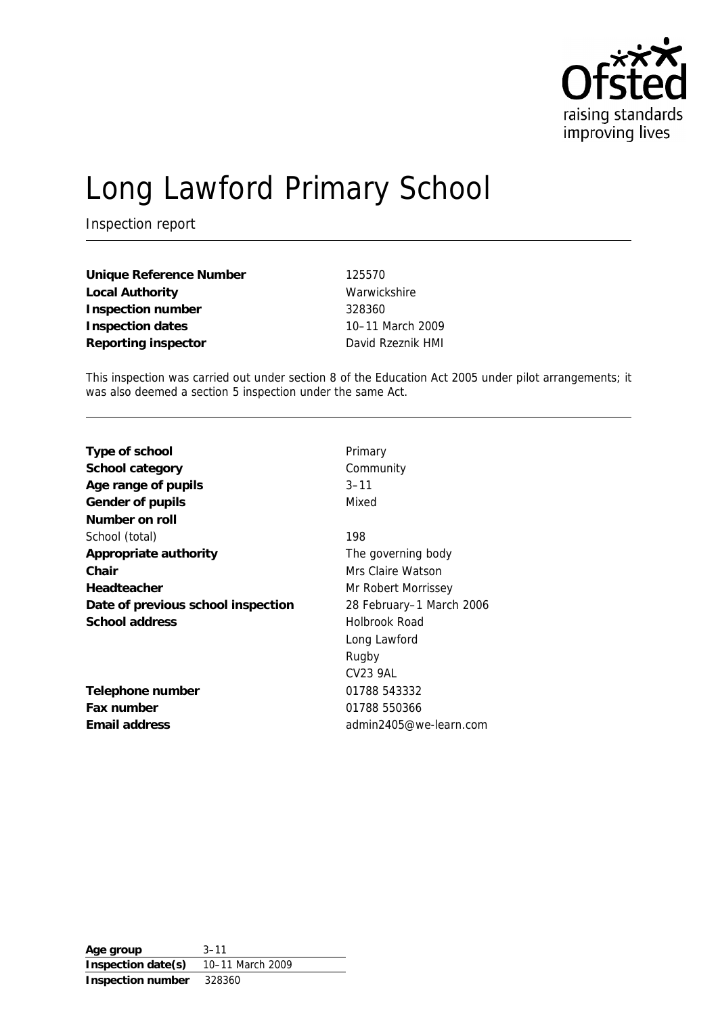

# Long Lawford Primary School

Inspection report

| Unique Reference Number | 125570            |
|-------------------------|-------------------|
| Local Authority         | Warwickshire      |
| Inspection number       | 328360            |
| Inspection dates        | 10-11 March 2009  |
| Reporting inspector     | David Rzeznik HMI |

This inspection was carried out under section 8 of the Education Act 2005 under pilot arrangements; it was also deemed a section 5 inspection under the same Act.

| Type of school                     | Primary                  |
|------------------------------------|--------------------------|
| School category                    | Community                |
| Age range of pupils                | $3 - 11$                 |
| Gender of pupils                   | Mixed                    |
| Number on roll                     |                          |
| School (total)                     | 198                      |
| Appropriate authority              | The governing body       |
| Chair                              | Mrs Claire Watson        |
| Headteacher                        | Mr Robert Morrissey      |
| Date of previous school inspection | 28 February–1 March 2006 |
| School address                     | Holbrook Road            |
|                                    | Long Lawford             |
|                                    | Rugby                    |
|                                    | <b>CV23 9AL</b>          |
| Telephone number                   | 01788 543332             |
| Fax number                         | 01788 550366             |
| Email address                      | admin2405@we-learn.com   |
|                                    |                          |

**Age group** 3–11 **Inspection date(s)** 10–11 March 2009 **Inspection number** 328360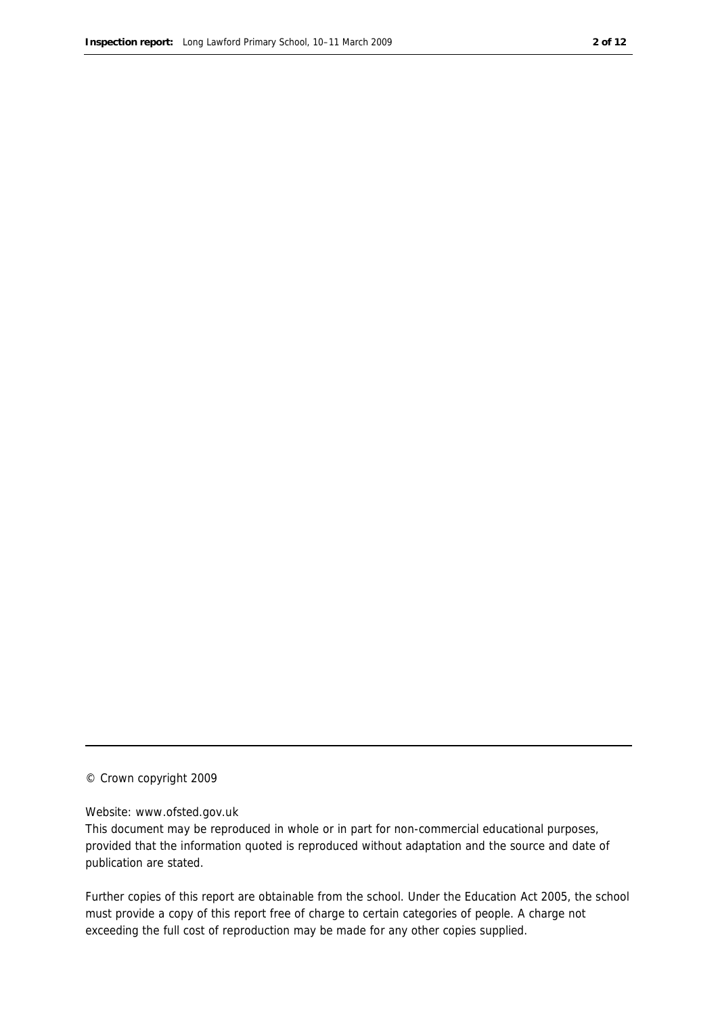#### © Crown copyright 2009

#### Website: www.ofsted.gov.uk

This document may be reproduced in whole or in part for non-commercial educational purposes, provided that the information quoted is reproduced without adaptation and the source and date of publication are stated.

Further copies of this report are obtainable from the school. Under the Education Act 2005, the school must provide a copy of this report free of charge to certain categories of people. A charge not exceeding the full cost of reproduction may be made for any other copies supplied.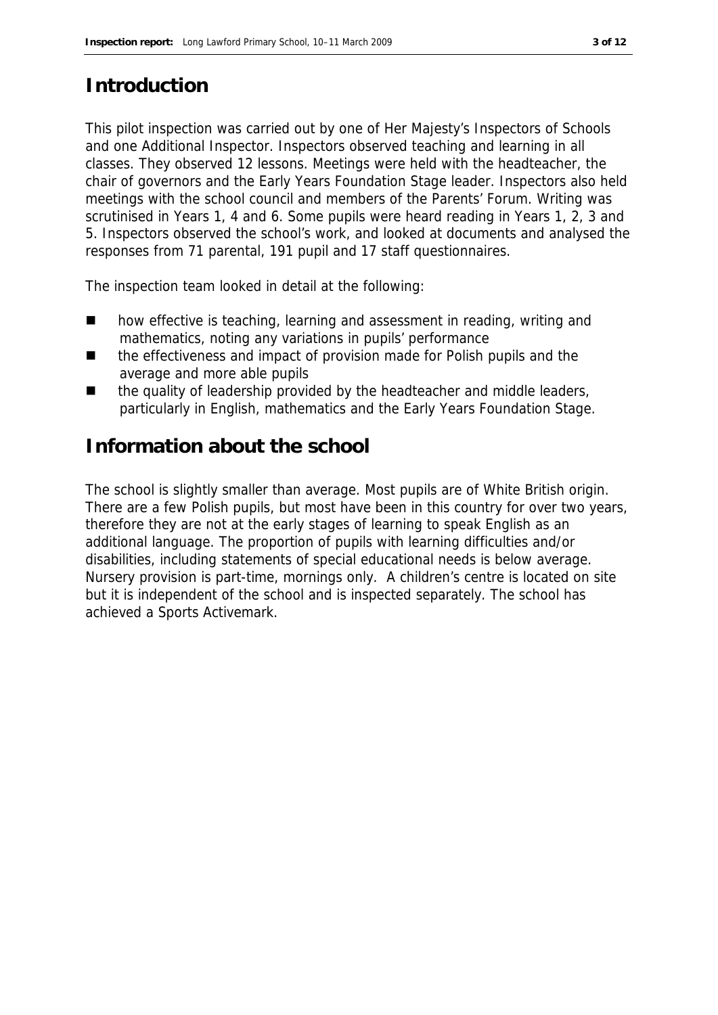### **Introduction**

This pilot inspection was carried out by one of Her Majesty's Inspectors of Schools and one Additional Inspector. Inspectors observed teaching and learning in all classes. They observed 12 lessons. Meetings were held with the headteacher, the chair of governors and the Early Years Foundation Stage leader. Inspectors also held meetings with the school council and members of the Parents' Forum. Writing was scrutinised in Years 1, 4 and 6. Some pupils were heard reading in Years 1, 2, 3 and 5. Inspectors observed the school's work, and looked at documents and analysed the responses from 71 parental, 191 pupil and 17 staff questionnaires.

The inspection team looked in detail at the following:

- how effective is teaching, learning and assessment in reading, writing and mathematics, noting any variations in pupils' performance
- the effectiveness and impact of provision made for Polish pupils and the average and more able pupils
- $\blacksquare$  the quality of leadership provided by the headteacher and middle leaders, particularly in English, mathematics and the Early Years Foundation Stage.

#### **Information about the school**

The school is slightly smaller than average. Most pupils are of White British origin. There are a few Polish pupils, but most have been in this country for over two years, therefore they are not at the early stages of learning to speak English as an additional language. The proportion of pupils with learning difficulties and/or disabilities, including statements of special educational needs is below average. Nursery provision is part-time, mornings only. A children's centre is located on site but it is independent of the school and is inspected separately. The school has achieved a Sports Activemark.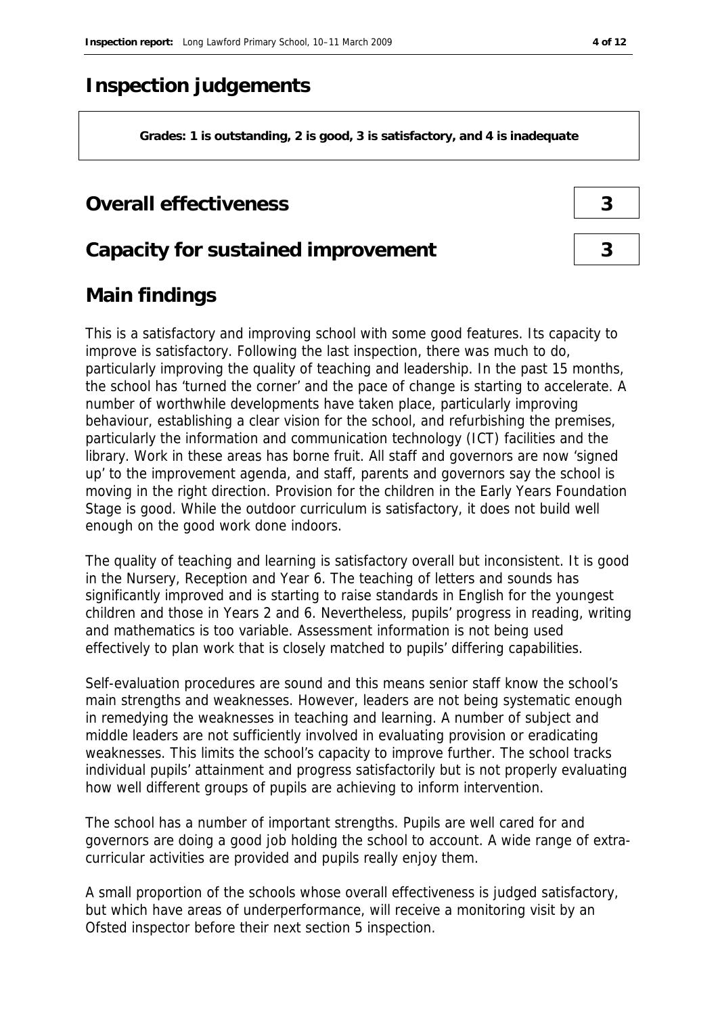### **Inspection judgements**

**Grades: 1 is outstanding, 2 is good, 3 is satisfactory, and 4 is inadequate**

#### **Overall effectiveness 3**

#### **Capacity for sustained improvement 3**

### **Main findings**

This is a satisfactory and improving school with some good features. Its capacity to improve is satisfactory. Following the last inspection, there was much to do, particularly improving the quality of teaching and leadership. In the past 15 months, the school has 'turned the corner' and the pace of change is starting to accelerate. A number of worthwhile developments have taken place, particularly improving behaviour, establishing a clear vision for the school, and refurbishing the premises, particularly the information and communication technology (ICT) facilities and the library. Work in these areas has borne fruit. All staff and governors are now 'signed up' to the improvement agenda, and staff, parents and governors say the school is moving in the right direction. Provision for the children in the Early Years Foundation Stage is good. While the outdoor curriculum is satisfactory, it does not build well enough on the good work done indoors.

The quality of teaching and learning is satisfactory overall but inconsistent. It is good in the Nursery, Reception and Year 6. The teaching of letters and sounds has significantly improved and is starting to raise standards in English for the youngest children and those in Years 2 and 6. Nevertheless, pupils' progress in reading, writing and mathematics is too variable. Assessment information is not being used effectively to plan work that is closely matched to pupils' differing capabilities.

Self-evaluation procedures are sound and this means senior staff know the school's main strengths and weaknesses. However, leaders are not being systematic enough in remedying the weaknesses in teaching and learning. A number of subject and middle leaders are not sufficiently involved in evaluating provision or eradicating weaknesses. This limits the school's capacity to improve further. The school tracks individual pupils' attainment and progress satisfactorily but is not properly evaluating how well different groups of pupils are achieving to inform intervention.

The school has a number of important strengths. Pupils are well cared for and governors are doing a good job holding the school to account. A wide range of extracurricular activities are provided and pupils really enjoy them.

A small proportion of the schools whose overall effectiveness is judged satisfactory, but which have areas of underperformance, will receive a monitoring visit by an Ofsted inspector before their next section 5 inspection.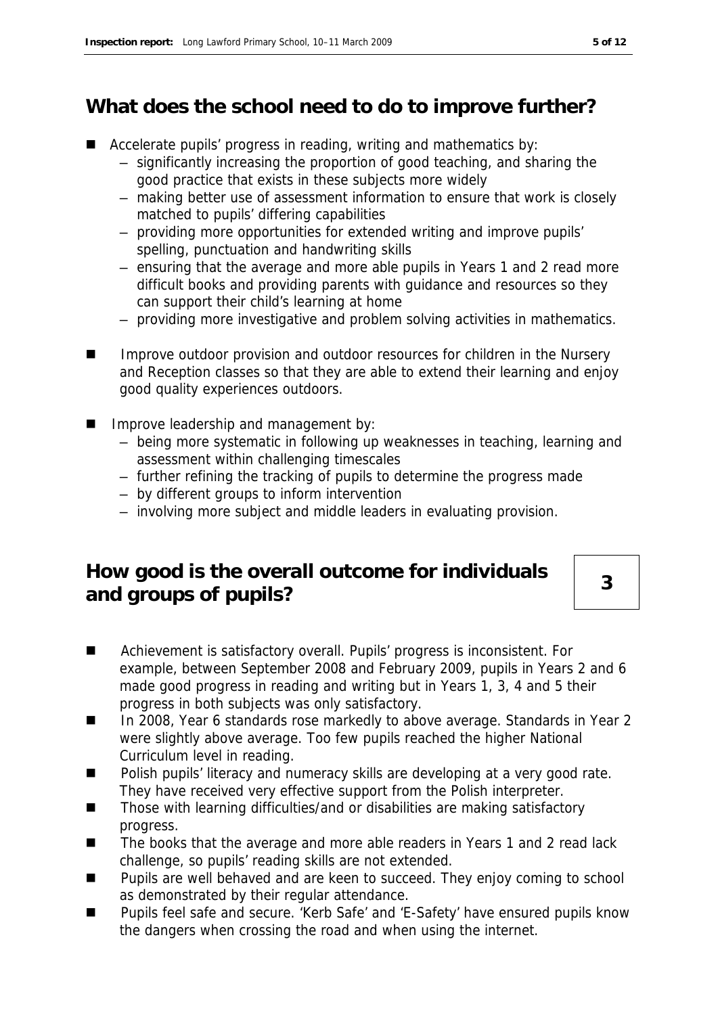## **What does the school need to do to improve further?**

- Accelerate pupils' progress in reading, writing and mathematics by:
	- significantly increasing the proportion of good teaching, and sharing the good practice that exists in these subjects more widely
	- making better use of assessment information to ensure that work is closely matched to pupils' differing capabilities
	- providing more opportunities for extended writing and improve pupils' spelling, punctuation and handwriting skills
	- ensuring that the average and more able pupils in Years 1 and 2 read more difficult books and providing parents with guidance and resources so they can support their child's learning at home
	- providing more investigative and problem solving activities in mathematics.
- Improve outdoor provision and outdoor resources for children in the Nursery and Reception classes so that they are able to extend their learning and enjoy good quality experiences outdoors.
- **IMPROVE leadership and management by:** 
	- being more systematic in following up weaknesses in teaching, learning and assessment within challenging timescales
	- further refining the tracking of pupils to determine the progress made
	- by different groups to inform intervention
	- involving more subject and middle leaders in evaluating provision.

#### **How good is the overall outcome for individuals**  and groups of pupils?

- Achievement is satisfactory overall. Pupils' progress is inconsistent. For example, between September 2008 and February 2009, pupils in Years 2 and 6 made good progress in reading and writing but in Years 1, 3, 4 and 5 their progress in both subjects was only satisfactory.
- in 2008, Year 6 standards rose markedly to above average. Standards in Year 2 were slightly above average. Too few pupils reached the higher National Curriculum level in reading.
- **Polish pupils' literacy and numeracy skills are developing at a very good rate.** They have received very effective support from the Polish interpreter.
- Those with learning difficulties/and or disabilities are making satisfactory progress.
- The books that the average and more able readers in Years 1 and 2 read lack challenge, so pupils' reading skills are not extended.
- Pupils are well behaved and are keen to succeed. They enjoy coming to school as demonstrated by their regular attendance.
- Pupils feel safe and secure. 'Kerb Safe' and 'E-Safety' have ensured pupils know the dangers when crossing the road and when using the internet.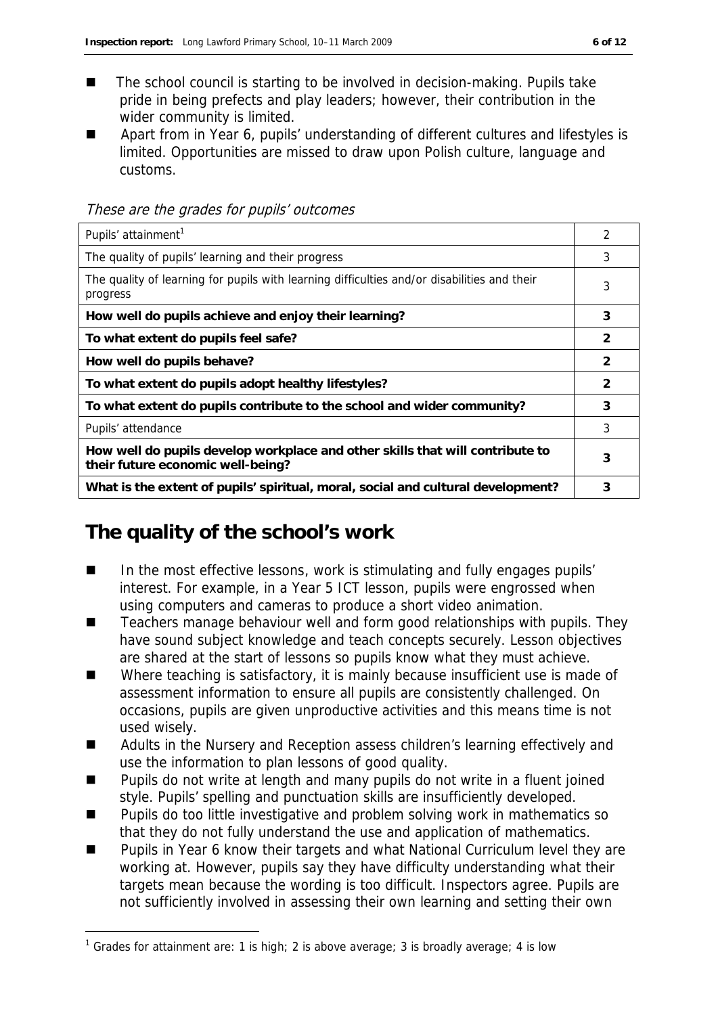- The school council is starting to be involved in decision-making. Pupils take pride in being prefects and play leaders; however, their contribution in the wider community is limited.
- Apart from in Year 6, pupils' understanding of different cultures and lifestyles is limited. Opportunities are missed to draw upon Polish culture, language and customs.

| Pupils' attainment <sup>1</sup>                                                                                    | 2 |
|--------------------------------------------------------------------------------------------------------------------|---|
| The quality of pupils' learning and their progress                                                                 | 3 |
| The quality of learning for pupils with learning difficulties and/or disabilities and their<br>progress            | 3 |
| How well do pupils achieve and enjoy their learning?                                                               | 3 |
| To what extent do pupils feel safe?                                                                                | 2 |
| How well do pupils behave?                                                                                         | 2 |
| To what extent do pupils adopt healthy lifestyles?                                                                 | 2 |
| To what extent do pupils contribute to the school and wider community?                                             | 3 |
| Pupils' attendance                                                                                                 | 3 |
| How well do pupils develop workplace and other skills that will contribute to<br>their future economic well-being? | 3 |
| What is the extent of pupils' spiritual, moral, social and cultural development?                                   | 3 |

These are the grades for pupils' outcomes

#### **The quality of the school's work**

-

- In the most effective lessons, work is stimulating and fully engages pupils' interest. For example, in a Year 5 ICT lesson, pupils were engrossed when using computers and cameras to produce a short video animation.
- Teachers manage behaviour well and form good relationships with pupils. They have sound subject knowledge and teach concepts securely. Lesson objectives are shared at the start of lessons so pupils know what they must achieve.
- Where teaching is satisfactory, it is mainly because insufficient use is made of assessment information to ensure all pupils are consistently challenged. On occasions, pupils are given unproductive activities and this means time is not used wisely.
- Adults in the Nursery and Reception assess children's learning effectively and use the information to plan lessons of good quality.
- **Pupils do not write at length and many pupils do not write in a fluent joined** style. Pupils' spelling and punctuation skills are insufficiently developed.
- **Pupils do too little investigative and problem solving work in mathematics so** that they do not fully understand the use and application of mathematics.
- Pupils in Year 6 know their targets and what National Curriculum level they are working at. However, pupils say they have difficulty understanding what their targets mean because the wording is too difficult. Inspectors agree. Pupils are not sufficiently involved in assessing their own learning and setting their own

<sup>&</sup>lt;sup>1</sup> Grades for attainment are: 1 is high; 2 is above average; 3 is broadly average; 4 is low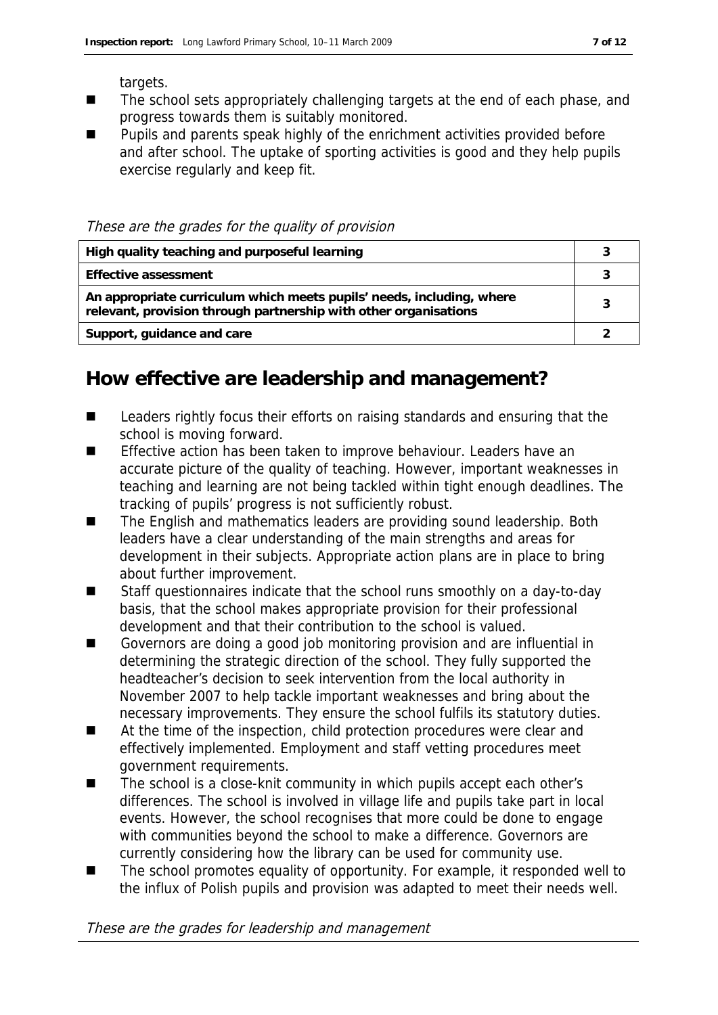targets.

- The school sets appropriately challenging targets at the end of each phase, and progress towards them is suitably monitored.
- **Pupils and parents speak highly of the enrichment activities provided before** and after school. The uptake of sporting activities is good and they help pupils exercise regularly and keep fit.

These are the grades for the quality of provision

| High quality teaching and purposeful learning                                                                                             |  |
|-------------------------------------------------------------------------------------------------------------------------------------------|--|
| Effective assessment                                                                                                                      |  |
| An appropriate curriculum which meets pupils' needs, including, where<br>relevant, provision through partnership with other organisations |  |
| Support, guidance and care                                                                                                                |  |

#### **How effective are leadership and management?**

- Leaders rightly focus their efforts on raising standards and ensuring that the school is moving forward.
- Effective action has been taken to improve behaviour. Leaders have an accurate picture of the quality of teaching. However, important weaknesses in teaching and learning are not being tackled within tight enough deadlines. The tracking of pupils' progress is not sufficiently robust.
- The English and mathematics leaders are providing sound leadership. Both leaders have a clear understanding of the main strengths and areas for development in their subjects. Appropriate action plans are in place to bring about further improvement.
- Staff questionnaires indicate that the school runs smoothly on a day-to-day basis, that the school makes appropriate provision for their professional development and that their contribution to the school is valued.
- Governors are doing a good job monitoring provision and are influential in determining the strategic direction of the school. They fully supported the headteacher's decision to seek intervention from the local authority in November 2007 to help tackle important weaknesses and bring about the necessary improvements. They ensure the school fulfils its statutory duties.
- At the time of the inspection, child protection procedures were clear and effectively implemented. Employment and staff vetting procedures meet government requirements.
- The school is a close-knit community in which pupils accept each other's differences. The school is involved in village life and pupils take part in local events. However, the school recognises that more could be done to engage with communities beyond the school to make a difference. Governors are currently considering how the library can be used for community use.
- The school promotes equality of opportunity. For example, it responded well to the influx of Polish pupils and provision was adapted to meet their needs well.

These are the grades for leadership and management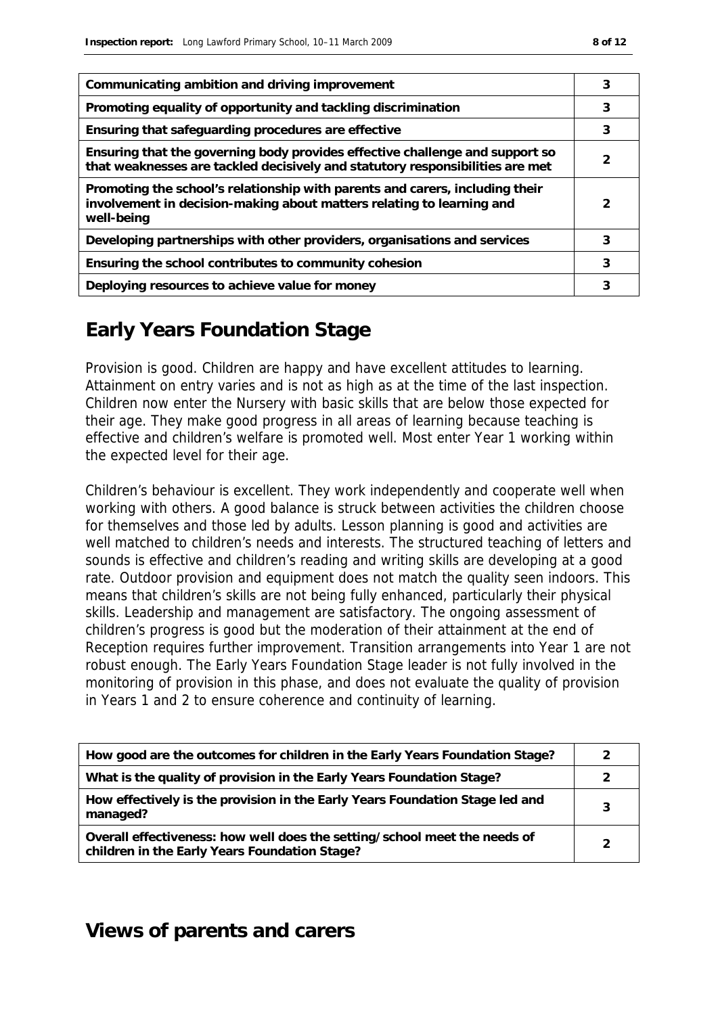| Communicating ambition and driving improvement                                                                                                                      |   |
|---------------------------------------------------------------------------------------------------------------------------------------------------------------------|---|
| Promoting equality of opportunity and tackling discrimination                                                                                                       | 3 |
| Ensuring that safeguarding procedures are effective                                                                                                                 | 3 |
| Ensuring that the governing body provides effective challenge and support so<br>that weaknesses are tackled decisively and statutory responsibilities are met       |   |
| Promoting the school's relationship with parents and carers, including their<br>involvement in decision-making about matters relating to learning and<br>well-being |   |
| Developing partnerships with other providers, organisations and services                                                                                            | 3 |
| Ensuring the school contributes to community cohesion                                                                                                               |   |
| Deploying resources to achieve value for money                                                                                                                      | 3 |

### **Early Years Foundation Stage**

Provision is good. Children are happy and have excellent attitudes to learning. Attainment on entry varies and is not as high as at the time of the last inspection. Children now enter the Nursery with basic skills that are below those expected for their age. They make good progress in all areas of learning because teaching is effective and children's welfare is promoted well. Most enter Year 1 working within the expected level for their age.

Children's behaviour is excellent. They work independently and cooperate well when working with others. A good balance is struck between activities the children choose for themselves and those led by adults. Lesson planning is good and activities are well matched to children's needs and interests. The structured teaching of letters and sounds is effective and children's reading and writing skills are developing at a good rate. Outdoor provision and equipment does not match the quality seen indoors. This means that children's skills are not being fully enhanced, particularly their physical skills. Leadership and management are satisfactory. The ongoing assessment of children's progress is good but the moderation of their attainment at the end of Reception requires further improvement. Transition arrangements into Year 1 are not robust enough. The Early Years Foundation Stage leader is not fully involved in the monitoring of provision in this phase, and does not evaluate the quality of provision in Years 1 and 2 to ensure coherence and continuity of learning.

| How good are the outcomes for children in the Early Years Foundation Stage?                                                |  |
|----------------------------------------------------------------------------------------------------------------------------|--|
| What is the quality of provision in the Early Years Foundation Stage?                                                      |  |
| How effectively is the provision in the Early Years Foundation Stage led and<br>managed?                                   |  |
| Overall effectiveness: how well does the setting/school meet the needs of<br>children in the Early Years Foundation Stage? |  |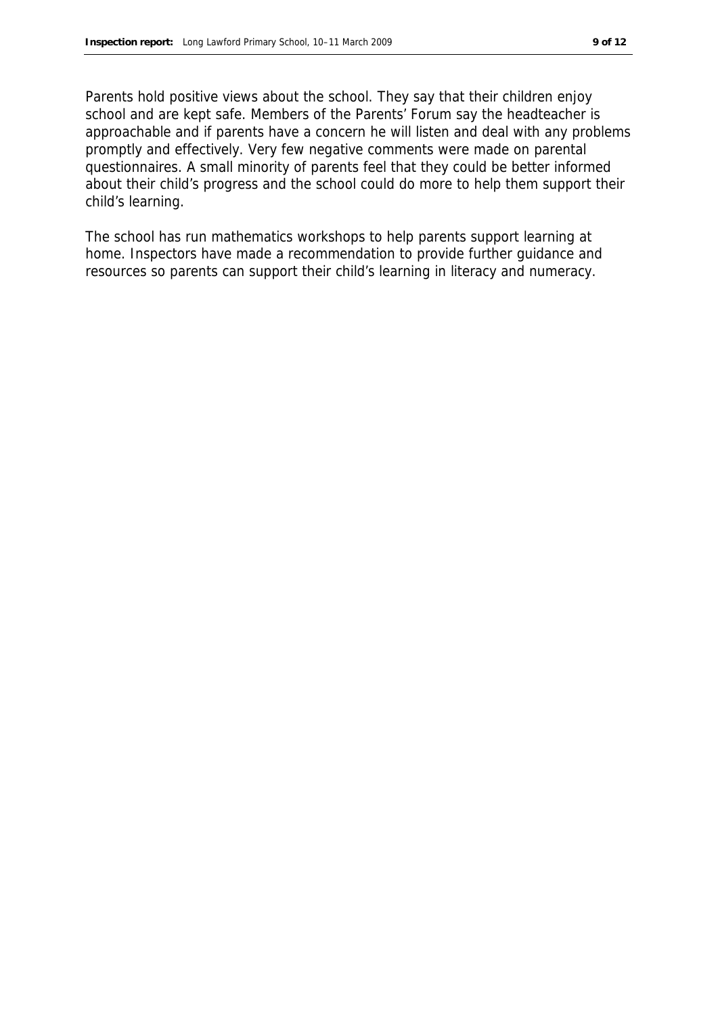Parents hold positive views about the school. They say that their children enjoy school and are kept safe. Members of the Parents' Forum say the headteacher is approachable and if parents have a concern he will listen and deal with any problems promptly and effectively. Very few negative comments were made on parental questionnaires. A small minority of parents feel that they could be better informed about their child's progress and the school could do more to help them support their child's learning.

The school has run mathematics workshops to help parents support learning at home. Inspectors have made a recommendation to provide further guidance and resources so parents can support their child's learning in literacy and numeracy.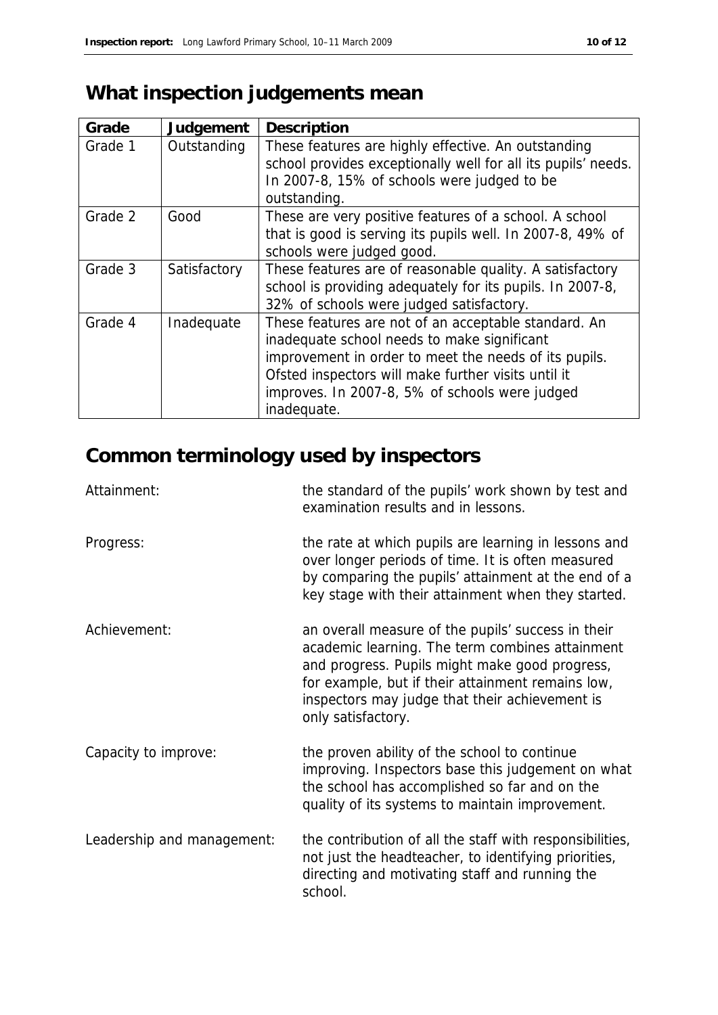# **What inspection judgements mean**

| Grade   | Judgement    | Description                                                                                                                                                                                                                                                                          |
|---------|--------------|--------------------------------------------------------------------------------------------------------------------------------------------------------------------------------------------------------------------------------------------------------------------------------------|
| Grade 1 | Outstanding  | These features are highly effective. An outstanding<br>school provides exceptionally well for all its pupils' needs.<br>In 2007-8, 15% of schools were judged to be<br>outstanding.                                                                                                  |
| Grade 2 | Good         | These are very positive features of a school. A school<br>that is good is serving its pupils well. In 2007-8, 49% of<br>schools were judged good.                                                                                                                                    |
| Grade 3 | Satisfactory | These features are of reasonable quality. A satisfactory<br>school is providing adequately for its pupils. In 2007-8,<br>32% of schools were judged satisfactory.                                                                                                                    |
| Grade 4 | Inadequate   | These features are not of an acceptable standard. An<br>inadequate school needs to make significant<br>improvement in order to meet the needs of its pupils.<br>Ofsted inspectors will make further visits until it<br>improves. In 2007-8, 5% of schools were judged<br>inadequate. |

# **Common terminology used by inspectors**

| Attainment:                | the standard of the pupils' work shown by test and<br>examination results and in lessons.                                                                                                                                                                                            |
|----------------------------|--------------------------------------------------------------------------------------------------------------------------------------------------------------------------------------------------------------------------------------------------------------------------------------|
| Progress:                  | the rate at which pupils are learning in lessons and<br>over longer periods of time. It is often measured<br>by comparing the pupils' attainment at the end of a<br>key stage with their attainment when they started.                                                               |
| Achievement:               | an overall measure of the pupils' success in their<br>academic learning. The term combines attainment<br>and progress. Pupils might make good progress,<br>for example, but if their attainment remains low,<br>inspectors may judge that their achievement is<br>only satisfactory. |
| Capacity to improve:       | the proven ability of the school to continue<br>improving. Inspectors base this judgement on what<br>the school has accomplished so far and on the<br>quality of its systems to maintain improvement.                                                                                |
| Leadership and management: | the contribution of all the staff with responsibilities,<br>not just the headteacher, to identifying priorities,<br>directing and motivating staff and running the<br>school.                                                                                                        |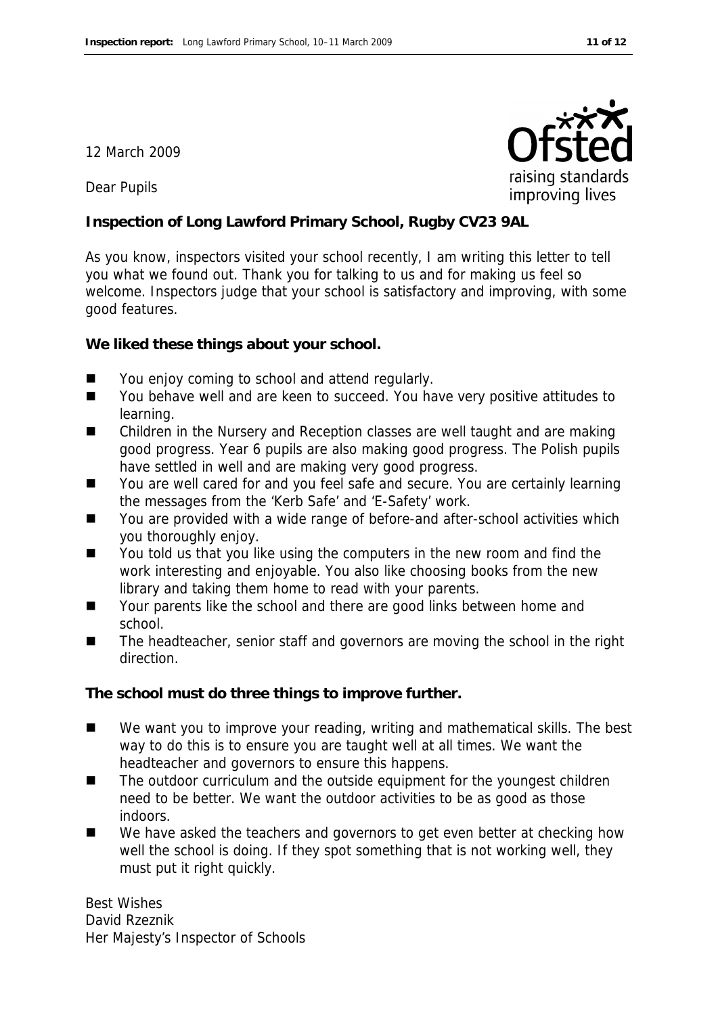#### 12 March 2009

Dear Pupils

**Inspection of Long Lawford Primary School, Rugby CV23 9AL**

As you know, inspectors visited your school recently, I am writing this letter to tell you what we found out. Thank you for talking to us and for making us feel so welcome. Inspectors judge that your school is satisfactory and improving, with some good features.

**We liked these things about your school.**

- You enjoy coming to school and attend regularly.
- You behave well and are keen to succeed. You have very positive attitudes to learning.
- Children in the Nursery and Reception classes are well taught and are making good progress. Year 6 pupils are also making good progress. The Polish pupils have settled in well and are making very good progress.
- You are well cared for and you feel safe and secure. You are certainly learning the messages from the 'Kerb Safe' and 'E-Safety' work.
- You are provided with a wide range of before-and after-school activities which you thoroughly enjoy.
- You told us that you like using the computers in the new room and find the work interesting and enjoyable. You also like choosing books from the new library and taking them home to read with your parents.
- Your parents like the school and there are good links between home and school.
- The headteacher, senior staff and governors are moving the school in the right direction.

**The school must do three things to improve further.**

- We want you to improve your reading, writing and mathematical skills. The best way to do this is to ensure you are taught well at all times. We want the headteacher and governors to ensure this happens.
- The outdoor curriculum and the outside equipment for the youngest children need to be better. We want the outdoor activities to be as good as those indoors.
- We have asked the teachers and governors to get even better at checking how well the school is doing. If they spot something that is not working well, they must put it right quickly.

Best Wishes David Rzeznik Her Majesty's Inspector of Schools